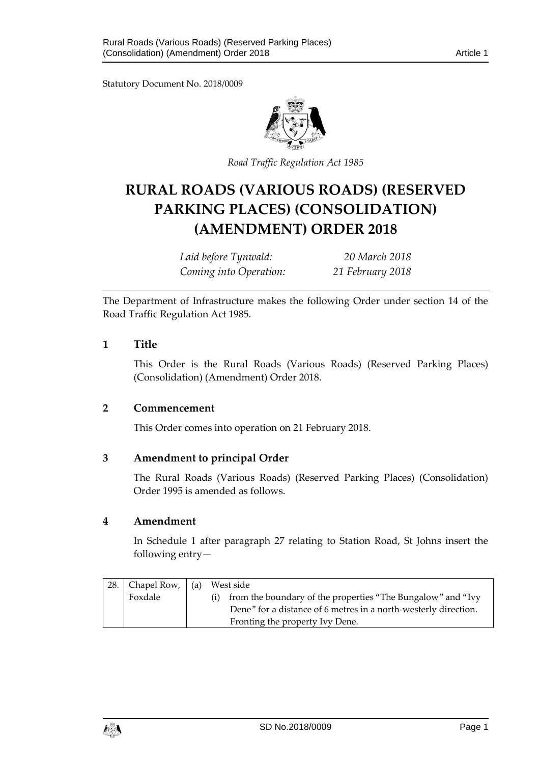Statutory Document No. 2018/0009



*Road Traffic Regulation Act 1985*

# **RURAL ROADS (VARIOUS ROADS) (RESERVED PARKING PLACES) (CONSOLIDATION) (AMENDMENT) ORDER 2018**

*Laid before Tynwald: 20 March 2018 Coming into Operation: 21 February 2018*

The Department of Infrastructure makes the following Order under section 14 of the Road Traffic Regulation Act 1985.

## **1 Title**

This Order is the Rural Roads (Various Roads) (Reserved Parking Places) (Consolidation) (Amendment) Order 2018.

## **2 Commencement**

This Order comes into operation on 21 February 2018.

## **3 Amendment to principal Order**

The Rural Roads (Various Roads) (Reserved Parking Places) (Consolidation) Order 1995 is amended as follows.

#### **4 Amendment**

In Schedule 1 after paragraph 27 relating to Station Road, St Johns insert the following entry—

| 28.1 | Chapel Row, $ $ (a) | West side                                                       |
|------|---------------------|-----------------------------------------------------------------|
|      | Foxdale             | from the boundary of the properties "The Bungalow" and "Ivy     |
|      |                     | Dene" for a distance of 6 metres in a north-westerly direction. |
|      |                     | Fronting the property Ivy Dene.                                 |

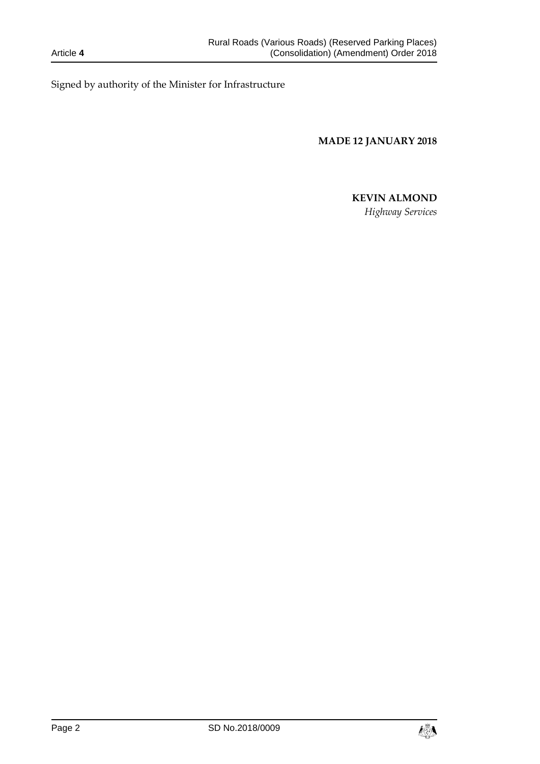Signed by authority of the Minister for Infrastructure

**MADE 12 JANUARY 2018**

# **KEVIN ALMOND**

*Highway Services*